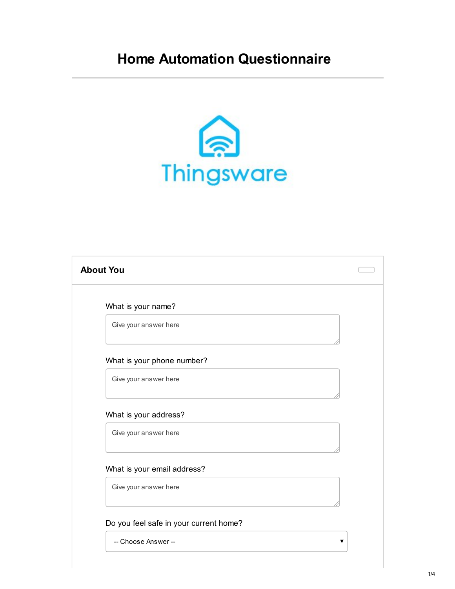## **Home Automation Questionnaire**



| What is your name?                             |  |
|------------------------------------------------|--|
| Give your answer here                          |  |
| What is your phone number?                     |  |
| Give your answer here                          |  |
| What is your address?<br>Give your answer here |  |
|                                                |  |
| What is your email address?                    |  |
| Give your answer here                          |  |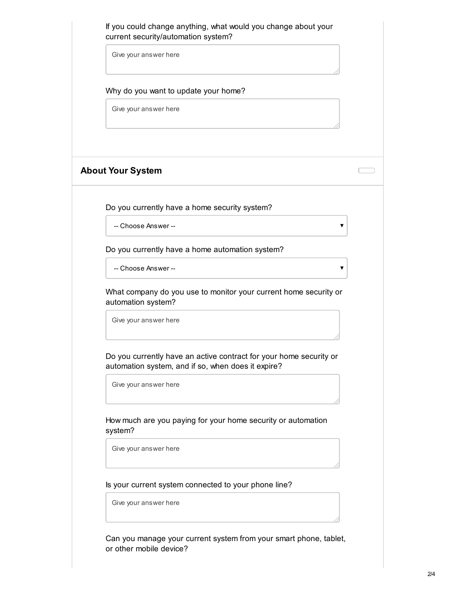If you could change anything, what would you change about your current security/automation system?

Give your answer here

Why do you want to update your home?

Give your answer here

## **About Your System**

Do you currently have a home security system?

-- Choose Answer --

Do you currently have a home automation system?

-- Choose Answer --

What company do you use to monitor your current home security or automation system?

Give your answer here

Do you currently have an active contract for your home security or automation system, and if so, when does it expire?

Give your answer here

How much are you paying for your home security or automation system?

Give your answer here

Is your current system connected to your phone line?

Give your answer here

Can you manage your current system from your smart phone, tablet, or other mobile device?

 $\Box$ 

 $\overline{\textbf{v}}$ 

 $\overline{\mathbf{v}}$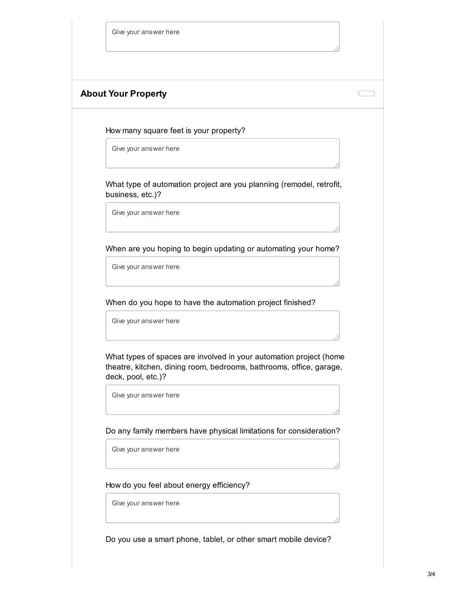|  |  | Give your answer here |  |
|--|--|-----------------------|--|
|--|--|-----------------------|--|

## **About Your Property**

How many square feet is your property?

Give your answer here

What type of automation project are you planning (remodel, retrofit, business, etc.)?

Give your answer here

When are you hoping to begin updating or automating your home?

Give your answer here

When do you hope to have the automation project finished?

Give your answer here

What types of spaces are involved in your automation project (home theatre, kitchen, dining room, bedrooms, bathrooms, office, garage, deck, pool, etc.)?

Give your answer here

Do any family members have physical limitations for consideration?

Give your answer here

## How do you feel about energy efficiency?

Give your answer here

Do you use a smart phone, tablet, or other smart mobile device?